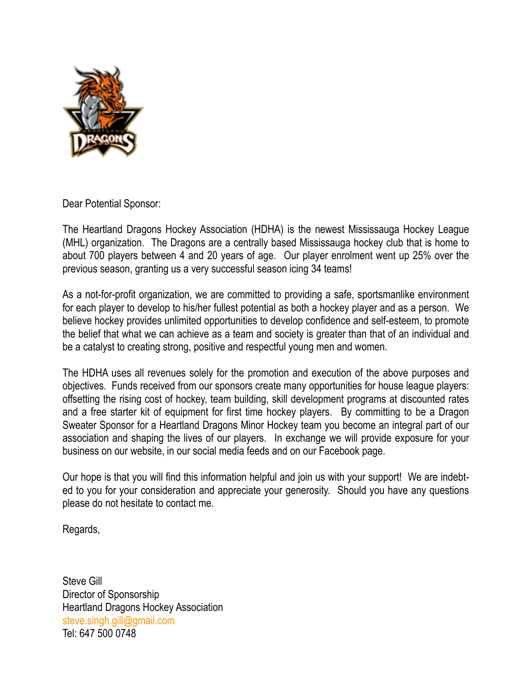

Dear Potential Sponsor:

The Heartland Dragons Hockey Association (HDHA) is the newest Mississauga Hockey League (MHL) organization. The Dragons are a centrally based Mississauga hockey club that is home to about 700 players between 4 and 20 years of age. Our player enrolment went up 25% over the previous season, granting us a very successful season icing 34 teams!

As a not-for-profit organization, we are committed to providing a safe, sportsmanlike environment for each player to develop to his/her fullest potential as both a hockey player and as a person. We believe hockey provides unlimited opportunities to develop confidence and self-esteem, to promote the belief that what we can achieve as a team and society is greater than that of an individual and be a catalyst to creating strong, positive and respectful young men and women.

The HDHA uses all revenues solely for the promotion and execution of the above purposes and objectives. Funds received from our sponsors create many opportunities for house league players: offsetting the rising cost of hockey, team building, skill development programs at discounted rates and a free starter kit of equipment for first time hockey players. By committing to be a Dragon Sweater Sponsor for a Heartland Dragons Minor Hockey team you become an integral part of our association and shaping the lives of our players. In exchange we will provide exposure for your business on our website, in our social media feeds and on our Facebook page.

Our hope is that you will find this information helpful and join us with your support! We are indebted to you for your consideration and appreciate your generosity. Should you have any questions please do not hesitate to contact me.

Regards,

Steve Gill Director of Sponsorship Heartland Dragons Hockey Association [steve.singh.gill@gmail.com](mailto:steve.singh.gill@gmail.com?subject=Sponsorship) Tel: 647 500 0748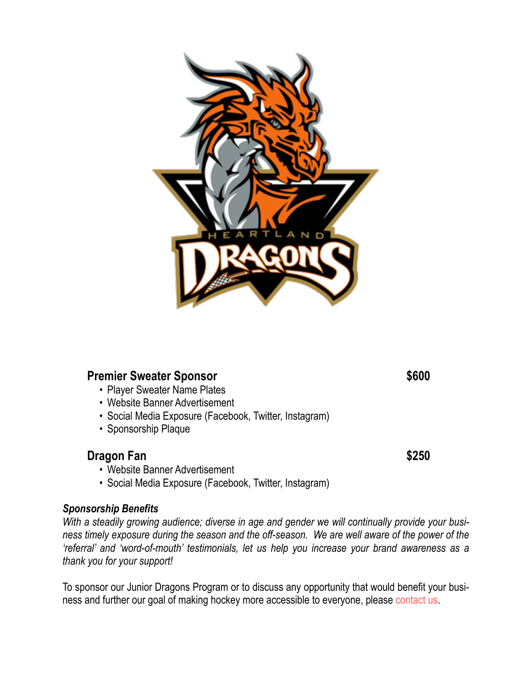

### **Premier Sweater Sponsor \$600**

- Player Sweater Name Plates
- Website Banner Advertisement
- Social Media Exposure (Facebook, Twitter, Instagram)
- Sponsorship Plaque

## **Dragon Fan** \$250

- Website Banner Advertisement
- Social Media Exposure (Facebook, Twitter, Instagram)

#### *Sponsorship Benefits*

*With a steadily growing audience; diverse in age and gender we will continually provide your business timely exposure during the season and the off-season. We are well aware of the power of the 'referral' and 'word-of-mouth' testimonials, let us help you increase your brand awareness as a thank you for your support!*

To sponsor our Junior Dragons Program or to discuss any opportunity that would benefit your business and further our goal of making hockey more accessible to everyone, please [contact us](mailto:steve.singh.gill@gmail.com?subject=).